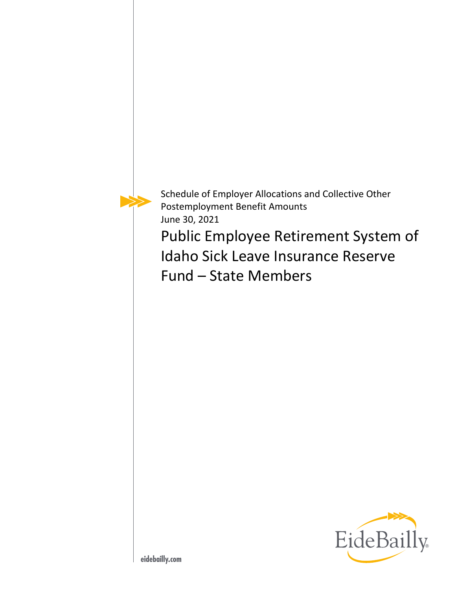

Schedule of Employer Allocations and Collective Other Postemployment Benefit Amounts June 30, 2021

Public Employee Retirement System of Idaho Sick Leave Insurance Reserve Fund – State Members

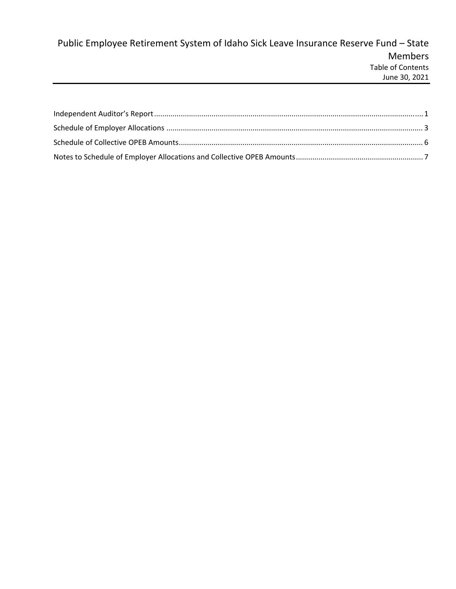# Public Employee Retirement System of Idaho Sick Leave Insurance Reserve Fund – State Members Table of Contents June 30, 2021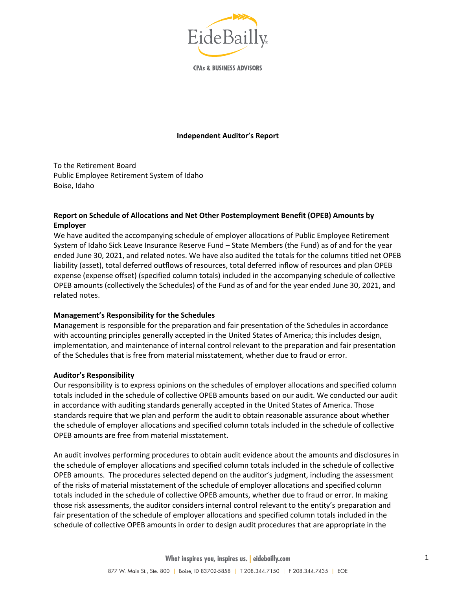

**CPAs & BUSINESS ADVISORS** 

### **Independent Auditor's Report**

To the Retirement Board Public Employee Retirement System of Idaho Boise, Idaho

# **Report on Schedule of Allocations and Net Other Postemployment Benefit (OPEB) Amounts by Employer**

We have audited the accompanying schedule of employer allocations of Public Employee Retirement System of Idaho Sick Leave Insurance Reserve Fund – State Members (the Fund) as of and for the year ended June 30, 2021, and related notes. We have also audited the totals for the columns titled net OPEB liability (asset), total deferred outflows of resources, total deferred inflow of resources and plan OPEB expense (expense offset) (specified column totals) included in the accompanying schedule of collective OPEB amounts (collectively the Schedules) of the Fund as of and for the year ended June 30, 2021, and related notes.

#### **Management's Responsibility for the Schedules**

Management is responsible for the preparation and fair presentation of the Schedules in accordance with accounting principles generally accepted in the United States of America; this includes design, implementation, and maintenance of internal control relevant to the preparation and fair presentation of the Schedules that is free from material misstatement, whether due to fraud or error.

#### **Auditor's Responsibility**

Our responsibility is to express opinions on the schedules of employer allocations and specified column totals included in the schedule of collective OPEB amounts based on our audit. We conducted our audit in accordance with auditing standards generally accepted in the United States of America. Those standards require that we plan and perform the audit to obtain reasonable assurance about whether the schedule of employer allocations and specified column totals included in the schedule of collective OPEB amounts are free from material misstatement.

An audit involves performing procedures to obtain audit evidence about the amounts and disclosures in the schedule of employer allocations and specified column totals included in the schedule of collective OPEB amounts. The procedures selected depend on the auditor's judgment, including the assessment of the risks of material misstatement of the schedule of employer allocations and specified column totals included in the schedule of collective OPEB amounts, whether due to fraud or error. In making those risk assessments, the auditor considers internal control relevant to the entity's preparation and fair presentation of the schedule of employer allocations and specified column totals included in the schedule of collective OPEB amounts in order to design audit procedures that are appropriate in the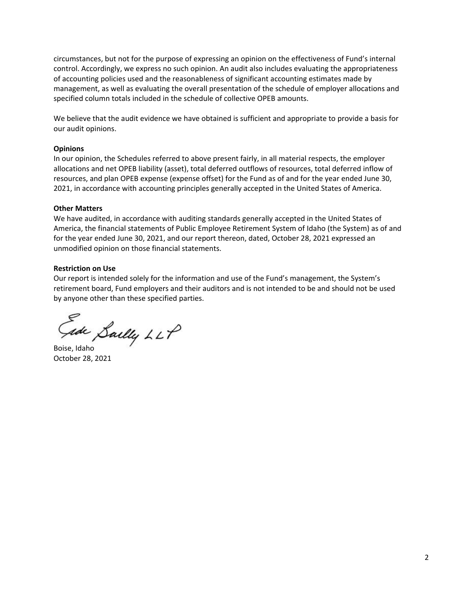circumstances, but not for the purpose of expressing an opinion on the effectiveness of Fund's internal control. Accordingly, we express no such opinion. An audit also includes evaluating the appropriateness of accounting policies used and the reasonableness of significant accounting estimates made by management, as well as evaluating the overall presentation of the schedule of employer allocations and specified column totals included in the schedule of collective OPEB amounts.

We believe that the audit evidence we have obtained is sufficient and appropriate to provide a basis for our audit opinions.

## **Opinions**

In our opinion, the Schedules referred to above present fairly, in all material respects, the employer allocations and net OPEB liability (asset), total deferred outflows of resources, total deferred inflow of resources, and plan OPEB expense (expense offset) for the Fund as of and for the year ended June 30, 2021, in accordance with accounting principles generally accepted in the United States of America.

### **Other Matters**

We have audited, in accordance with auditing standards generally accepted in the United States of America, the financial statements of Public Employee Retirement System of Idaho (the System) as of and for the year ended June 30, 2021, and our report thereon, dated, October 28, 2021 expressed an unmodified opinion on those financial statements.

### **Restriction on Use**

Our report is intended solely for the information and use of the Fund's management, the System's retirement board, Fund employers and their auditors and is not intended to be and should not be used by anyone other than these specified parties.

Gade Sailly LLP

October 28, 2021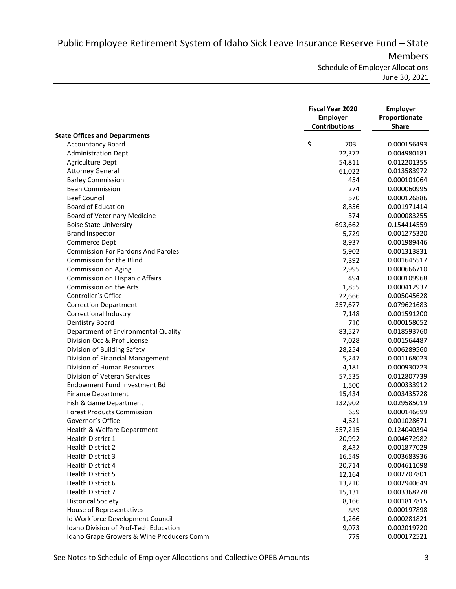Public Employee Retirement System of Idaho Sick Leave Insurance Reserve Fund – State Members

Schedule of Employer Allocations June 30, 2021

|                                                                           | <b>Fiscal Year 2020</b><br><b>Employer</b><br><b>Contributions</b> | <b>Employer</b><br>Proportionate<br><b>Share</b> |  |
|---------------------------------------------------------------------------|--------------------------------------------------------------------|--------------------------------------------------|--|
| <b>State Offices and Departments</b>                                      |                                                                    |                                                  |  |
| <b>Accountancy Board</b>                                                  | \$<br>703                                                          | 0.000156493                                      |  |
| <b>Administration Dept</b>                                                | 22,372                                                             | 0.004980181                                      |  |
| Agriculture Dept                                                          | 54,811                                                             | 0.012201355                                      |  |
| <b>Attorney General</b>                                                   | 61,022                                                             | 0.013583972                                      |  |
| <b>Barley Commission</b>                                                  | 454                                                                | 0.000101064                                      |  |
| <b>Bean Commission</b>                                                    | 274                                                                | 0.000060995                                      |  |
| <b>Beef Council</b>                                                       | 570                                                                | 0.000126886                                      |  |
| <b>Board of Education</b>                                                 | 8,856                                                              | 0.001971414                                      |  |
| Board of Veterinary Medicine                                              | 374                                                                | 0.000083255                                      |  |
| <b>Boise State University</b>                                             | 693,662                                                            | 0.154414559                                      |  |
| <b>Brand Inspector</b>                                                    | 5,729                                                              | 0.001275320                                      |  |
| Commerce Dept                                                             | 8,937                                                              | 0.001989446                                      |  |
| <b>Commission For Pardons And Paroles</b>                                 | 5,902                                                              | 0.001313831                                      |  |
| Commission for the Blind                                                  | 7,392                                                              | 0.001645517                                      |  |
| Commission on Aging                                                       | 2,995                                                              | 0.000666710                                      |  |
| Commission on Hispanic Affairs                                            | 494                                                                | 0.000109968                                      |  |
| Commission on the Arts                                                    | 1,855                                                              | 0.000412937                                      |  |
| Controller's Office                                                       | 22,666                                                             | 0.005045628                                      |  |
| <b>Correction Department</b>                                              | 357,677                                                            | 0.079621683                                      |  |
| Correctional Industry                                                     | 7,148                                                              | 0.001591200                                      |  |
| <b>Dentistry Board</b>                                                    | 710                                                                | 0.000158052                                      |  |
| Department of Environmental Quality                                       | 83,527                                                             | 0.018593760                                      |  |
| Division Occ & Prof License                                               | 7,028                                                              | 0.001564487                                      |  |
| Division of Building Safety                                               | 28,254                                                             | 0.006289560                                      |  |
| Division of Financial Management                                          | 5,247                                                              | 0.001168023                                      |  |
| Division of Human Resources                                               | 4,181                                                              | 0.000930723                                      |  |
| Division of Veteran Services                                              | 57,535                                                             | 0.012807739                                      |  |
| Endowment Fund Investment Bd                                              | 1,500                                                              | 0.000333912                                      |  |
| <b>Finance Department</b>                                                 | 15,434                                                             | 0.003435728                                      |  |
| Fish & Game Department                                                    | 132,902                                                            | 0.029585019                                      |  |
| <b>Forest Products Commission</b>                                         | 659                                                                | 0.000146699                                      |  |
| Governor's Office                                                         | 4,621                                                              | 0.001028671                                      |  |
| Health & Welfare Department                                               |                                                                    | 0.124040394                                      |  |
| Health District 1                                                         | 557,215                                                            | 0.004672982                                      |  |
| <b>Health District 2</b>                                                  | 20,992                                                             | 0.001877029                                      |  |
| <b>Health District 3</b>                                                  | 8,432<br>16,549                                                    | 0.003683936                                      |  |
| Health District 4                                                         | 20,714                                                             | 0.004611098                                      |  |
| <b>Health District 5</b>                                                  | 12,164                                                             | 0.002707801                                      |  |
| Health District 6                                                         | 13,210                                                             | 0.002940649                                      |  |
| Health District 7                                                         | 15,131                                                             | 0.003368278                                      |  |
|                                                                           |                                                                    |                                                  |  |
| <b>Historical Society</b>                                                 | 8,166<br>889                                                       | 0.001817815                                      |  |
| House of Representatives                                                  |                                                                    | 0.000197898                                      |  |
| Id Workforce Development Council<br>Idaho Division of Prof-Tech Education | 1,266                                                              | 0.000281821                                      |  |
|                                                                           | 9,073                                                              | 0.002019720                                      |  |
| Idaho Grape Growers & Wine Producers Comm                                 | 775                                                                | 0.000172521                                      |  |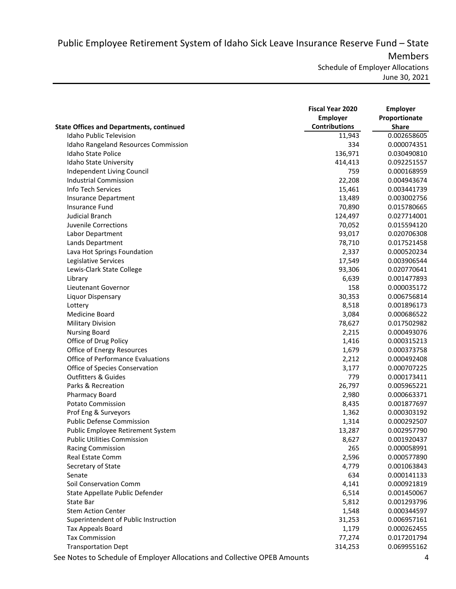Public Employee Retirement System of Idaho Sick Leave Insurance Reserve Fund – State Members

Schedule of Employer Allocations June 30, 2021

|                                                 | <b>Fiscal Year 2020</b> | <b>Employer</b> |
|-------------------------------------------------|-------------------------|-----------------|
|                                                 | <b>Employer</b>         | Proportionate   |
| <b>State Offices and Departments, continued</b> | <b>Contributions</b>    | <b>Share</b>    |
| <b>Idaho Public Television</b>                  | 11,943                  | 0.002658605     |
| Idaho Rangeland Resources Commission            | 334                     | 0.000074351     |
| Idaho State Police                              | 136,971                 | 0.030490810     |
| Idaho State University                          | 414,413                 | 0.092251557     |
| Independent Living Council                      | 759                     | 0.000168959     |
| <b>Industrial Commission</b>                    | 22,208                  | 0.004943674     |
| Info Tech Services                              | 15,461                  | 0.003441739     |
| <b>Insurance Department</b>                     | 13,489                  | 0.003002756     |
| <b>Insurance Fund</b>                           | 70,890                  | 0.015780665     |
| <b>Judicial Branch</b>                          | 124,497                 | 0.027714001     |
| Juvenile Corrections                            | 70,052                  | 0.015594120     |
| Labor Department                                | 93,017                  | 0.020706308     |
| Lands Department                                | 78,710                  | 0.017521458     |
| Lava Hot Springs Foundation                     | 2,337                   | 0.000520234     |
| Legislative Services                            | 17,549                  | 0.003906544     |
| Lewis-Clark State College                       | 93,306                  | 0.020770641     |
| Library                                         | 6,639                   | 0.001477893     |
| Lieutenant Governor                             | 158                     | 0.000035172     |
| Liquor Dispensary                               | 30,353                  | 0.006756814     |
| Lottery                                         | 8,518                   | 0.001896173     |
| Medicine Board                                  | 3,084                   | 0.000686522     |
| <b>Military Division</b>                        | 78,627                  | 0.017502982     |
| <b>Nursing Board</b>                            | 2,215                   | 0.000493076     |
| Office of Drug Policy                           | 1,416                   | 0.000315213     |
| Office of Energy Resources                      | 1,679                   | 0.000373758     |
| <b>Office of Performance Evaluations</b>        | 2,212                   | 0.000492408     |
| Office of Species Conservation                  | 3,177                   | 0.000707225     |
| <b>Outfitters &amp; Guides</b>                  | 779                     | 0.000173411     |
| Parks & Recreation                              | 26,797                  | 0.005965221     |
| <b>Pharmacy Board</b>                           | 2,980                   | 0.000663371     |
| <b>Potato Commission</b>                        | 8,435                   | 0.001877697     |
| Prof Eng & Surveyors                            | 1,362                   | 0.000303192     |
| <b>Public Defense Commission</b>                | 1,314                   | 0.000292507     |
| Public Employee Retirement System               | 13,287                  | 0.002957790     |
| <b>Public Utilities Commission</b>              | 8,627                   | 0.001920437     |
| <b>Racing Commission</b>                        | 265                     | 0.000058991     |
| Real Estate Comm                                | 2,596                   | 0.000577890     |
| Secretary of State                              | 4,779                   | 0.001063843     |
| Senate                                          | 634                     | 0.000141133     |
| Soil Conservation Comm                          | 4,141                   | 0.000921819     |
| State Appellate Public Defender                 | 6,514                   | 0.001450067     |
| State Bar                                       | 5,812                   | 0.001293796     |
| <b>Stem Action Center</b>                       | 1,548                   | 0.000344597     |
| Superintendent of Public Instruction            | 31,253                  | 0.006957161     |
| Tax Appeals Board                               | 1,179                   | 0.000262455     |
| <b>Tax Commission</b>                           | 77,274                  | 0.017201794     |
| <b>Transportation Dept</b>                      | 314,253                 | 0.069955162     |

See Notes to Schedule of Employer Allocations and Collective OPEB Amounts 4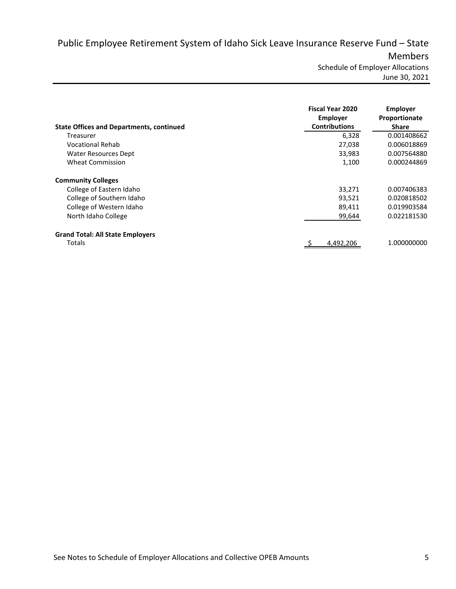Public Employee Retirement System of Idaho Sick Leave Insurance Reserve Fund – State Members

Schedule of Employer Allocations June 30, 2021

| <b>State Offices and Departments, continued</b> | <b>Fiscal Year 2020</b><br><b>Employer</b><br><b>Contributions</b> | Employer<br>Proportionate<br><b>Share</b> |
|-------------------------------------------------|--------------------------------------------------------------------|-------------------------------------------|
| Treasurer                                       | 6,328                                                              | 0.001408662                               |
| Vocational Rehab                                | 27,038                                                             | 0.006018869                               |
| Water Resources Dept                            | 33,983                                                             | 0.007564880                               |
| <b>Wheat Commission</b>                         | 1,100                                                              | 0.000244869                               |
| <b>Community Colleges</b>                       |                                                                    |                                           |
| College of Eastern Idaho                        | 33,271                                                             | 0.007406383                               |
| College of Southern Idaho                       | 93.521                                                             | 0.020818502                               |
| College of Western Idaho                        | 89,411                                                             | 0.019903584                               |
| North Idaho College                             | 99,644                                                             | 0.022181530                               |
| <b>Grand Total: All State Employers</b>         |                                                                    |                                           |
| Totals                                          | 4.492.206                                                          | 1.000000000                               |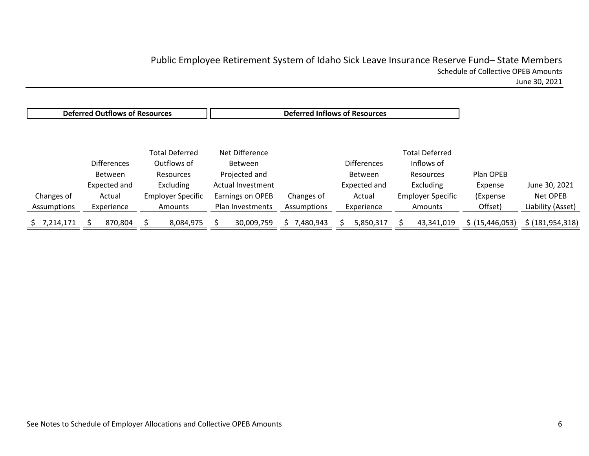# Public Employee Retirement System of Idaho Sick Leave Insurance Reserve Fund– State Members Schedule of Collective OPEB Amounts

June 30, 2021

|             | <b>Deferred Outflows of Resources</b> |                          |                   | <b>Deferred Inflows of Resources</b> |                    |                          |                   |                    |
|-------------|---------------------------------------|--------------------------|-------------------|--------------------------------------|--------------------|--------------------------|-------------------|--------------------|
|             |                                       |                          |                   |                                      |                    |                          |                   |                    |
|             |                                       | <b>Total Deferred</b>    | Net Difference    |                                      |                    | <b>Total Deferred</b>    |                   |                    |
|             | <b>Differences</b>                    | Outflows of              | <b>Between</b>    |                                      | <b>Differences</b> | Inflows of               |                   |                    |
|             | Between                               | Resources                | Projected and     |                                      | Between            | Resources                | Plan OPEB         |                    |
|             | Expected and                          | Excluding                | Actual Investment |                                      | Expected and       | Excluding                | Expense           | June 30, 2021      |
| Changes of  | Actual                                | <b>Employer Specific</b> | Earnings on OPEB  | Changes of                           | Actual             | <b>Employer Specific</b> | (Expense          | Net OPEB           |
| Assumptions | Experience                            | Amounts                  | Plan Investments  | Assumptions                          | Experience         | Amounts                  | Offset)           | Liability (Asset)  |
| 7,214,171   | 870,804                               | 8,084,975                | 30,009,759        | 480,943/                             | 5,850,317          | 43,341,019               | \$ (15, 446, 053) | \$ (181, 954, 318) |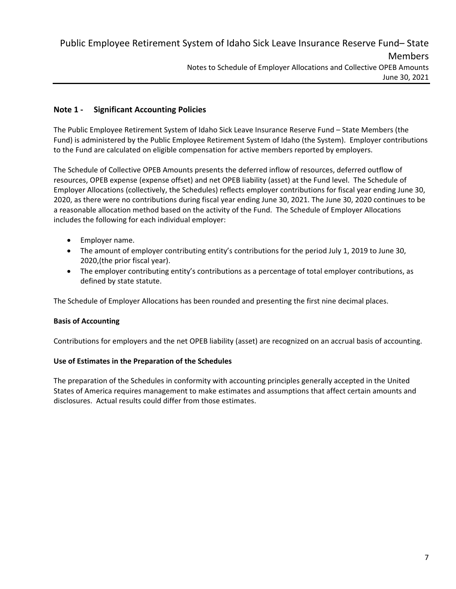# **Note 1 ‐ Significant Accounting Policies**

The Public Employee Retirement System of Idaho Sick Leave Insurance Reserve Fund – State Members (the Fund) is administered by the Public Employee Retirement System of Idaho (the System). Employer contributions to the Fund are calculated on eligible compensation for active members reported by employers.

The Schedule of Collective OPEB Amounts presents the deferred inflow of resources, deferred outflow of resources, OPEB expense (expense offset) and net OPEB liability (asset) at the Fund level. The Schedule of Employer Allocations (collectively, the Schedules) reflects employer contributions for fiscal year ending June 30, 2020, as there were no contributions during fiscal year ending June 30, 2021. The June 30, 2020 continues to be a reasonable allocation method based on the activity of the Fund. The Schedule of Employer Allocations includes the following for each individual employer:

- Employer name.
- The amount of employer contributing entity's contributions for the period July 1, 2019 to June 30, 2020,(the prior fiscal year).
- The employer contributing entity's contributions as a percentage of total employer contributions, as defined by state statute.

The Schedule of Employer Allocations has been rounded and presenting the first nine decimal places.

## **Basis of Accounting**

Contributions for employers and the net OPEB liability (asset) are recognized on an accrual basis of accounting.

## **Use of Estimates in the Preparation of the Schedules**

The preparation of the Schedules in conformity with accounting principles generally accepted in the United States of America requires management to make estimates and assumptions that affect certain amounts and disclosures. Actual results could differ from those estimates.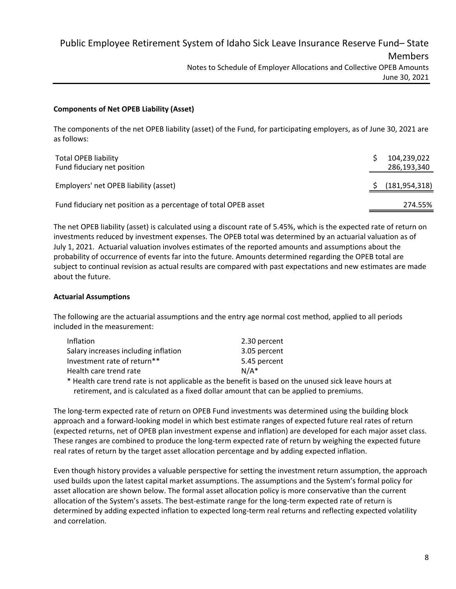# **Components of Net OPEB Liability (Asset)**

The components of the net OPEB liability (asset) of the Fund, for participating employers, as of June 30, 2021 are as follows:

| <b>Total OPEB liability</b><br>Fund fiduciary net position      | 104,239,022<br>286,193,340 |
|-----------------------------------------------------------------|----------------------------|
| Employers' net OPEB liability (asset)                           | (181, 954, 318)            |
| Fund fiduciary net position as a percentage of total OPEB asset | 274.55%                    |

The net OPEB liability (asset) is calculated using a discount rate of 5.45%, which is the expected rate of return on investments reduced by investment expenses. The OPEB total was determined by an actuarial valuation as of July 1, 2021. Actuarial valuation involves estimates of the reported amounts and assumptions about the probability of occurrence of events far into the future. Amounts determined regarding the OPEB total are subject to continual revision as actual results are compared with past expectations and new estimates are made about the future.

# **Actuarial Assumptions**

The following are the actuarial assumptions and the entry age normal cost method, applied to all periods included in the measurement:

| 2.30 percent |
|--------------|
| 3.05 percent |
| 5.45 percent |
| $N/A^*$      |
|              |

\* Health care trend rate is not applicable as the benefit is based on the unused sick leave hours at retirement, and is calculated as a fixed dollar amount that can be applied to premiums.

The long‐term expected rate of return on OPEB Fund investments was determined using the building block approach and a forward‐looking model in which best estimate ranges of expected future real rates of return (expected returns, net of OPEB plan investment expense and inflation) are developed for each major asset class. These ranges are combined to produce the long‐term expected rate of return by weighing the expected future real rates of return by the target asset allocation percentage and by adding expected inflation.

Even though history provides a valuable perspective for setting the investment return assumption, the approach used builds upon the latest capital market assumptions. The assumptions and the System's formal policy for asset allocation are shown below. The formal asset allocation policy is more conservative than the current allocation of the System's assets. The best-estimate range for the long-term expected rate of return is determined by adding expected inflation to expected long‐term real returns and reflecting expected volatility and correlation.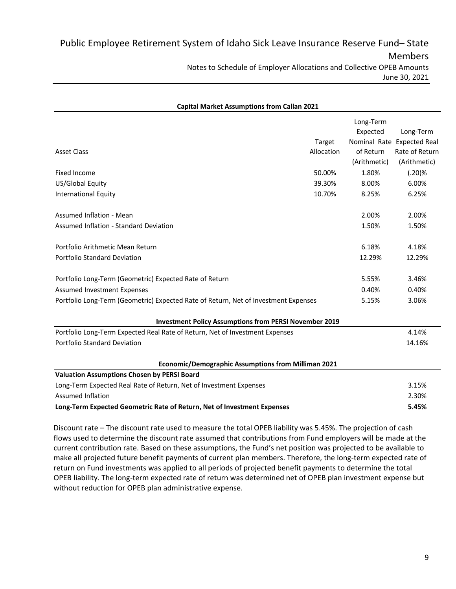| <b>Capital Market Assumptions from Callan 2021</b>                                  |            |              |                            |
|-------------------------------------------------------------------------------------|------------|--------------|----------------------------|
|                                                                                     |            | Long-Term    |                            |
|                                                                                     |            | Expected     | Long-Term                  |
|                                                                                     | Target     |              | Nominal Rate Expected Real |
| <b>Asset Class</b>                                                                  | Allocation | of Return    | Rate of Return             |
|                                                                                     |            | (Arithmetic) | (Arithmetic)               |
| <b>Fixed Income</b>                                                                 | 50.00%     | 1.80%        | (.20)%                     |
| US/Global Equity                                                                    | 39.30%     | 8.00%        | 6.00%                      |
| <b>International Equity</b>                                                         | 10.70%     | 8.25%        | 6.25%                      |
| Assumed Inflation - Mean                                                            |            | 2.00%        | 2.00%                      |
| Assumed Inflation - Standard Deviation                                              |            | 1.50%        | 1.50%                      |
| Portfolio Arithmetic Mean Return                                                    |            | 6.18%        | 4.18%                      |
| Portfolio Standard Deviation                                                        |            | 12.29%       | 12.29%                     |
| Portfolio Long-Term (Geometric) Expected Rate of Return                             |            | 5.55%        | 3.46%                      |
| Assumed Investment Expenses                                                         |            | 0.40%        | 0.40%                      |
| Portfolio Long-Term (Geometric) Expected Rate of Return, Net of Investment Expenses |            | 5.15%        | 3.06%                      |
| <b>Investment Policy Assumptions from PERSI November 2019</b>                       |            |              |                            |
| Portfolio Long-Term Expected Real Rate of Return, Net of Investment Expenses        |            |              | 4.14%                      |
| <b>Portfolio Standard Deviation</b>                                                 |            |              | 14.16%                     |
| Economic/Demographic Assumptions from Milliman 2021                                 |            |              |                            |
| <b>Valuation Assumptions Chosen by PERSI Board</b>                                  |            |              |                            |
| Long-Term Expected Real Rate of Return, Net of Investment Expenses                  |            |              | 3.15%                      |
| <b>Assumed Inflation</b>                                                            |            |              | 2.30%                      |
| Long-Term Expected Geometric Rate of Return, Net of Investment Expenses             |            |              | 5.45%                      |

Discount rate – The discount rate used to measure the total OPEB liability was 5.45%. The projection of cash flows used to determine the discount rate assumed that contributions from Fund employers will be made at the current contribution rate. Based on these assumptions, the Fund's net position was projected to be available to make all projected future benefit payments of current plan members. Therefore, the long‐term expected rate of return on Fund investments was applied to all periods of projected benefit payments to determine the total OPEB liability. The long‐term expected rate of return was determined net of OPEB plan investment expense but without reduction for OPEB plan administrative expense.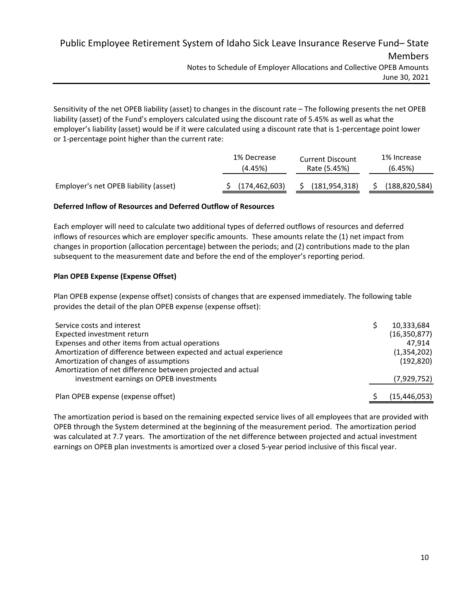Public Employee Retirement System of Idaho Sick Leave Insurance Reserve Fund– State Members Notes to Schedule of Employer Allocations and Collective OPEB Amounts June 30, 2021

Sensitivity of the net OPEB liability (asset) to changes in the discount rate – The following presents the net OPEB liability (asset) of the Fund's employers calculated using the discount rate of 5.45% as well as what the employer's liability (asset) would be if it were calculated using a discount rate that is 1‐percentage point lower or 1‐percentage point higher than the current rate:

|                                       | 1% Decrease<br>(4.45%) | <b>Current Discount</b><br>Rate (5.45%) | 1% Increase<br>(6.45%) |
|---------------------------------------|------------------------|-----------------------------------------|------------------------|
| Employer's net OPEB liability (asset) | (174, 462, 603)        | (181, 954, 318)                         | (188, 820, 584)        |

# **Deferred Inflow of Resources and Deferred Outflow of Resources**

Each employer will need to calculate two additional types of deferred outflows of resources and deferred inflows of resources which are employer specific amounts. These amounts relate the (1) net impact from changes in proportion (allocation percentage) between the periods; and (2) contributions made to the plan subsequent to the measurement date and before the end of the employer's reporting period.

# **Plan OPEB Expense (Expense Offset)**

Plan OPEB expense (expense offset) consists of changes that are expensed immediately. The following table provides the detail of the plan OPEB expense (expense offset):

| Service costs and interest                                        | 10,333,684     |
|-------------------------------------------------------------------|----------------|
| Expected investment return                                        | (16, 350, 877) |
| Expenses and other items from actual operations                   | 47.914         |
| Amortization of difference between expected and actual experience | (1,354,202)    |
| Amortization of changes of assumptions                            | (192, 820)     |
| Amortization of net difference between projected and actual       |                |
| investment earnings on OPEB investments                           | (7,929,752)    |
| Plan OPEB expense (expense offset)                                | (15, 446, 053) |
|                                                                   |                |

The amortization period is based on the remaining expected service lives of all employees that are provided with OPEB through the System determined at the beginning of the measurement period. The amortization period was calculated at 7.7 years. The amortization of the net difference between projected and actual investment earnings on OPEB plan investments is amortized over a closed 5-year period inclusive of this fiscal year.